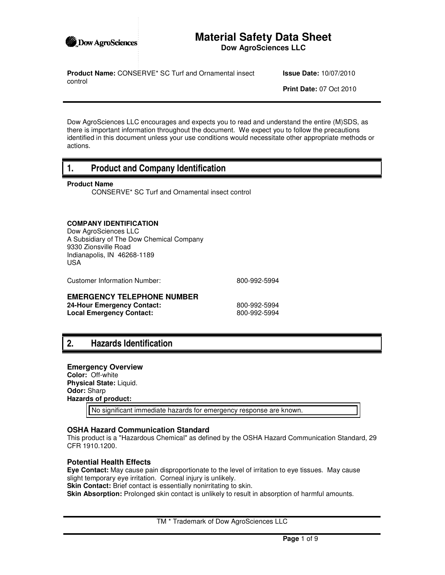

## **Material Safety Data Sheet Dow AgroSciences LLC**

**Product Name:** CONSERVE\* SC Turf and Ornamental insect control

**Issue Date:** 10/07/2010

**Print Date:** 07 Oct 2010

Dow AgroSciences LLC encourages and expects you to read and understand the entire (M)SDS, as there is important information throughout the document. We expect you to follow the precautions identified in this document unless your use conditions would necessitate other appropriate methods or actions.

## **1. Product and Company Identification**

### **Product Name**

CONSERVE\* SC Turf and Ornamental insect control

## **COMPANY IDENTIFICATION**

Dow AgroSciences LLC A Subsidiary of The Dow Chemical Company 9330 Zionsville Road Indianapolis, IN 46268-1189 USA

Customer Information Number: 800-992-5994

### **EMERGENCY TELEPHONE NUMBER**

**24-Hour Emergency Contact:** 800-992-5994<br> **Local Emergency Contact:** 800-992-5994 **Local Emergency Contact:** 

## **2. Hazards Identification**

### **Emergency Overview**

**Color:** Off-white **Physical State:** Liquid. **Odor:** Sharp **Hazards of product:**

No significant immediate hazards for emergency response are known.

### **OSHA Hazard Communication Standard**

This product is a "Hazardous Chemical" as defined by the OSHA Hazard Communication Standard, 29 CFR 1910.1200.

### **Potential Health Effects**

**Eye Contact:** May cause pain disproportionate to the level of irritation to eye tissues. May cause slight temporary eye irritation. Corneal injury is unlikely.

**Skin Contact:** Brief contact is essentially nonirritating to skin.

**Skin Absorption:** Prolonged skin contact is unlikely to result in absorption of harmful amounts.

TM \* Trademark of Dow AgroSciences LLC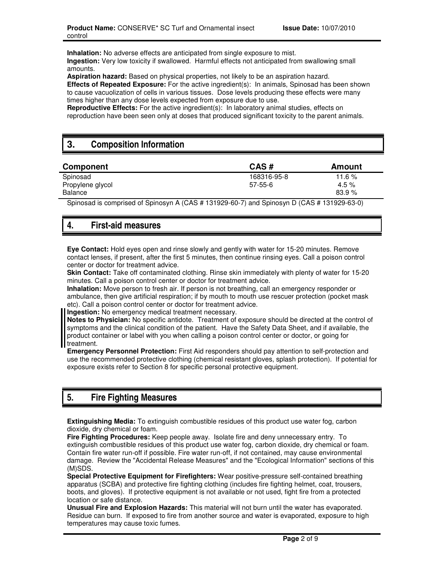**Inhalation:** No adverse effects are anticipated from single exposure to mist. **Ingestion:** Very low toxicity if swallowed. Harmful effects not anticipated from swallowing small amounts.

**Aspiration hazard:** Based on physical properties, not likely to be an aspiration hazard. **Effects of Repeated Exposure:** For the active ingredient(s): In animals, Spinosad has been shown to cause vacuolization of cells in various tissues. Dose levels producing these effects were many times higher than any dose levels expected from exposure due to use.

**Reproductive Effects:** For the active ingredient(s): In laboratory animal studies, effects on reproduction have been seen only at doses that produced significant toxicity to the parent animals.

# **3. Composition Information**

| CAS#<br>Component                            | Amount                  |  |
|----------------------------------------------|-------------------------|--|
| Spinosad                                     | 168316-95-8<br>11.6 $%$ |  |
| Propylene glycol<br>$57 - 55 - 6$<br>Balance | 4.5 $%$<br>83.9%        |  |

Spinosad is comprised of Spinosyn A (CAS # 131929-60-7) and Spinosyn D (CAS # 131929-63-0)

# **4. First-aid measures**

**Eye Contact:** Hold eyes open and rinse slowly and gently with water for 15-20 minutes. Remove contact lenses, if present, after the first 5 minutes, then continue rinsing eyes. Call a poison control center or doctor for treatment advice.

**Skin Contact:** Take off contaminated clothing. Rinse skin immediately with plenty of water for 15-20 minutes. Call a poison control center or doctor for treatment advice.

**Inhalation:** Move person to fresh air. If person is not breathing, call an emergency responder or ambulance, then give artificial respiration; if by mouth to mouth use rescuer protection (pocket mask etc). Call a poison control center or doctor for treatment advice.

**Ingestion:** No emergency medical treatment necessary.

**Notes to Physician:** No specific antidote. Treatment of exposure should be directed at the control of symptoms and the clinical condition of the patient. Have the Safety Data Sheet, and if available, the product container or label with you when calling a poison control center or doctor, or going for treatment.

**Emergency Personnel Protection:** First Aid responders should pay attention to self-protection and use the recommended protective clothing (chemical resistant gloves, splash protection). If potential for exposure exists refer to Section 8 for specific personal protective equipment.

# **5. Fire Fighting Measures**

**Extinguishing Media:** To extinguish combustible residues of this product use water fog, carbon dioxide, dry chemical or foam.

**Fire Fighting Procedures:** Keep people away. Isolate fire and deny unnecessary entry. To extinguish combustible residues of this product use water fog, carbon dioxide, dry chemical or foam. Contain fire water run-off if possible. Fire water run-off, if not contained, may cause environmental damage. Review the "Accidental Release Measures" and the "Ecological Information" sections of this (M)SDS.

**Special Protective Equipment for Firefighters:** Wear positive-pressure self-contained breathing apparatus (SCBA) and protective fire fighting clothing (includes fire fighting helmet, coat, trousers, boots, and gloves). If protective equipment is not available or not used, fight fire from a protected location or safe distance.

**Unusual Fire and Explosion Hazards:** This material will not burn until the water has evaporated. Residue can burn. If exposed to fire from another source and water is evaporated, exposure to high temperatures may cause toxic fumes.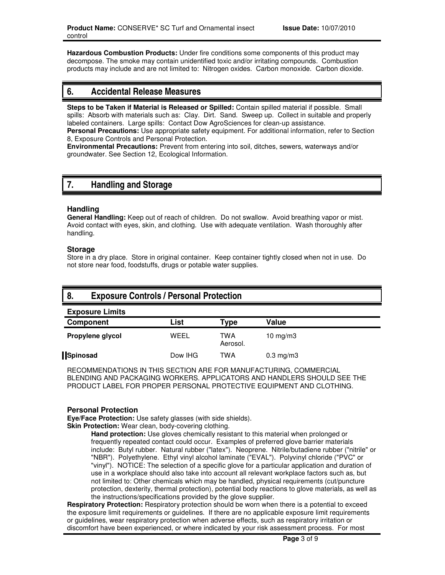**Hazardous Combustion Products:** Under fire conditions some components of this product may decompose. The smoke may contain unidentified toxic and/or irritating compounds. Combustion products may include and are not limited to: Nitrogen oxides. Carbon monoxide. Carbon dioxide.

## **6. Accidental Release Measures**

**Steps to be Taken if Material is Released or Spilled:** Contain spilled material if possible. Small spills: Absorb with materials such as: Clay. Dirt. Sand. Sweep up. Collect in suitable and properly labeled containers. Large spills: Contact Dow AgroSciences for clean-up assistance.

**Personal Precautions:** Use appropriate safety equipment. For additional information, refer to Section 8, Exposure Controls and Personal Protection.

**Environmental Precautions:** Prevent from entering into soil, ditches, sewers, waterways and/or groundwater. See Section 12, Ecological Information.

# **7. Handling and Storage**

### **Handling**

**General Handling:** Keep out of reach of children. Do not swallow. Avoid breathing vapor or mist. Avoid contact with eyes, skin, and clothing. Use with adequate ventilation. Wash thoroughly after handling.

### **Storage**

Store in a dry place. Store in original container. Keep container tightly closed when not in use. Do not store near food, foodstuffs, drugs or potable water supplies.

## **8. Exposure Controls / Personal Protection**

| <b>Exposure Limits</b> |         |                 |                |  |
|------------------------|---------|-----------------|----------------|--|
| Component              | List    | Type            | Value          |  |
| Propylene glycol       | WEEL    | TWA<br>Aerosol. | 10 mg/m $3$    |  |
| Spinosad               | Dow IHG | TWA             | $0.3$ mg/m $3$ |  |

RECOMMENDATIONS IN THIS SECTION ARE FOR MANUFACTURING, COMMERCIAL BLENDING AND PACKAGING WORKERS. APPLICATORS AND HANDLERS SHOULD SEE THE PRODUCT LABEL FOR PROPER PERSONAL PROTECTIVE EQUIPMENT AND CLOTHING.

### **Personal Protection**

**Eye/Face Protection:** Use safety glasses (with side shields).

**Skin Protection:** Wear clean, body-covering clothing.

**Hand protection:** Use gloves chemically resistant to this material when prolonged or frequently repeated contact could occur. Examples of preferred glove barrier materials include: Butyl rubber. Natural rubber ("latex"). Neoprene. Nitrile/butadiene rubber ("nitrile" or "NBR"). Polyethylene. Ethyl vinyl alcohol laminate ("EVAL"). Polyvinyl chloride ("PVC" or "vinyl"). NOTICE: The selection of a specific glove for a particular application and duration of use in a workplace should also take into account all relevant workplace factors such as, but not limited to: Other chemicals which may be handled, physical requirements (cut/puncture protection, dexterity, thermal protection), potential body reactions to glove materials, as well as the instructions/specifications provided by the glove supplier.

**Respiratory Protection:** Respiratory protection should be worn when there is a potential to exceed the exposure limit requirements or guidelines. If there are no applicable exposure limit requirements or guidelines, wear respiratory protection when adverse effects, such as respiratory irritation or discomfort have been experienced, or where indicated by your risk assessment process. For most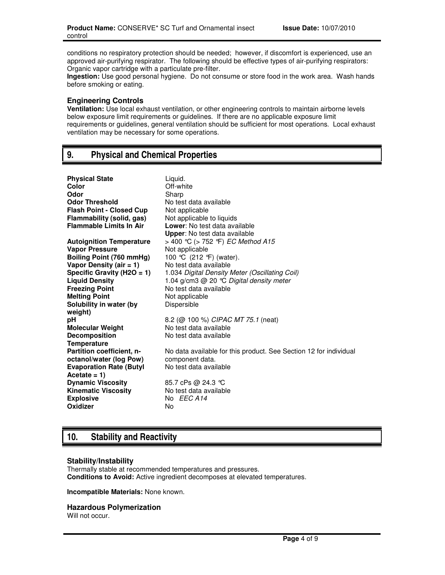conditions no respiratory protection should be needed; however, if discomfort is experienced, use an approved air-purifying respirator. The following should be effective types of air-purifying respirators: Organic vapor cartridge with a particulate pre-filter.

**Ingestion:** Use good personal hygiene. Do not consume or store food in the work area. Wash hands before smoking or eating.

### **Engineering Controls**

**Ventilation:** Use local exhaust ventilation, or other engineering controls to maintain airborne levels below exposure limit requirements or guidelines. If there are no applicable exposure limit requirements or guidelines, general ventilation should be sufficient for most operations. Local exhaust ventilation may be necessary for some operations.

# **9. Physical and Chemical Properties**

| <b>Physical State</b>           | Liguid.                                                           |
|---------------------------------|-------------------------------------------------------------------|
| Color                           | Off-white                                                         |
| Odor                            | Sharp                                                             |
| <b>Odor Threshold</b>           | No test data available                                            |
| <b>Flash Point - Closed Cup</b> | Not applicable                                                    |
| Flammability (solid, gas)       | Not applicable to liquids                                         |
| <b>Flammable Limits In Air</b>  | Lower: No test data available                                     |
|                                 | <b>Upper:</b> No test data available                              |
| <b>Autoignition Temperature</b> | > 400 °C (> 752 °F) <i>EC Method A15</i>                          |
| <b>Vapor Pressure</b>           | Not applicable                                                    |
| Boiling Point (760 mmHg)        | 100 °C (212 °F) (water).                                          |
| Vapor Density (air $= 1$ )      | No test data available                                            |
| Specific Gravity ( $H2O = 1$ )  | 1.034 Digital Density Meter (Oscillating Coil)                    |
| <b>Liquid Density</b>           | 1.04 g/cm3 $@$ 20 °C Digital density meter                        |
| <b>Freezing Point</b>           | No test data available                                            |
| <b>Melting Point</b>            | Not applicable                                                    |
| Solubility in water (by         | Dispersible                                                       |
| weight)                         |                                                                   |
| рH                              | 8.2 (@ 100 %) CIPAC MT 75.1 (neat)                                |
| <b>Molecular Weight</b>         | No test data available                                            |
| <b>Decomposition</b>            | No test data available                                            |
| <b>Temperature</b>              |                                                                   |
| Partition coefficient, n-       | No data available for this product. See Section 12 for individual |
| octanol/water (log Pow)         | component data.                                                   |
| <b>Evaporation Rate (Butyl</b>  | No test data available                                            |
| Acetate = $1$ )                 |                                                                   |
| <b>Dynamic Viscosity</b>        | 85.7 cPs @ 24.3 ℃                                                 |
| <b>Kinematic Viscosity</b>      | No test data available                                            |
| <b>Explosive</b>                | No EEC A14                                                        |
| Oxidizer                        | No                                                                |
|                                 |                                                                   |

# **10. Stability and Reactivity**

### **Stability/Instability**

Thermally stable at recommended temperatures and pressures. **Conditions to Avoid:** Active ingredient decomposes at elevated temperatures.

**Incompatible Materials:** None known.

### **Hazardous Polymerization**

Will not occur.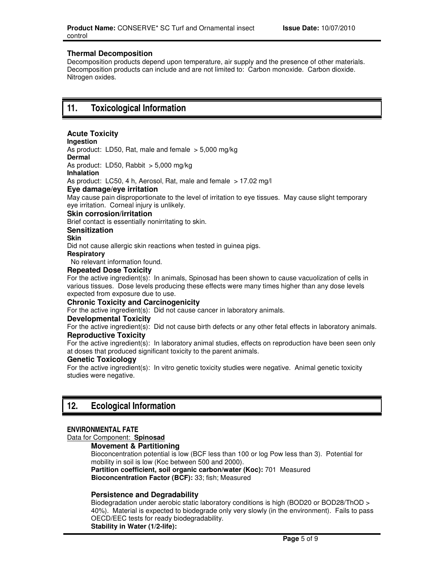### **Thermal Decomposition**

Decomposition products depend upon temperature, air supply and the presence of other materials. Decomposition products can include and are not limited to: Carbon monoxide. Carbon dioxide. Nitrogen oxides.

## **11. Toxicological Information**

## **Acute Toxicity**

**Ingestion** 

As product: LD50, Rat, male and female  $> 5,000$  mg/kg **Dermal** 

As product: LD50, Rabbit > 5,000 mg/kg

#### **Inhalation**

As product: LC50, 4 h, Aerosol, Rat, male and female > 17.02 mg/l

### **Eye damage/eye irritation**

May cause pain disproportionate to the level of irritation to eye tissues. May cause slight temporary eye irritation. Corneal injury is unlikely.

#### **Skin corrosion/irritation**

Brief contact is essentially nonirritating to skin.

#### **Sensitization**

**Skin** 

Did not cause allergic skin reactions when tested in guinea pigs.

#### **Respiratory**

No relevant information found.

### **Repeated Dose Toxicity**

For the active ingredient(s): In animals, Spinosad has been shown to cause vacuolization of cells in various tissues. Dose levels producing these effects were many times higher than any dose levels expected from exposure due to use.

### **Chronic Toxicity and Carcinogenicity**

For the active ingredient(s): Did not cause cancer in laboratory animals.

### **Developmental Toxicity**

For the active ingredient(s): Did not cause birth defects or any other fetal effects in laboratory animals. **Reproductive Toxicity**

For the active ingredient(s): In laboratory animal studies, effects on reproduction have been seen only at doses that produced significant toxicity to the parent animals.

### **Genetic Toxicology**

For the active ingredient(s): In vitro genetic toxicity studies were negative. Animal genetic toxicity studies were negative.

## **12. Ecological Information**

### **ENVIRONMENTAL FATE**

### Data for Component: **Spinosad**

**Movement & Partitioning** 

Bioconcentration potential is low (BCF less than 100 or log Pow less than 3). Potential for mobility in soil is low (Koc between 500 and 2000). **Partition coefficient, soil organic carbon/water (Koc):** 701 Measured

**Bioconcentration Factor (BCF):** 33; fish; Measured

### **Persistence and Degradability**

Biodegradation under aerobic static laboratory conditions is high (BOD20 or BOD28/ThOD > 40%). Material is expected to biodegrade only very slowly (in the environment). Fails to pass OECD/EEC tests for ready biodegradability. **Stability in Water (1/2-life):**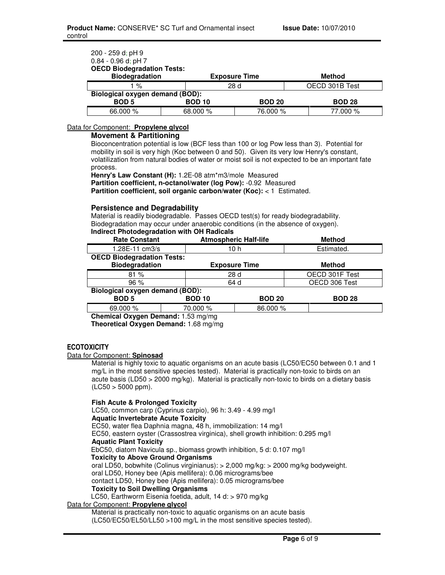| 200 - 259 d; pH 9<br>$0.84 - 0.96$ d; pH 7<br><b>OECD Biodegradation Tests:</b> |               |                      |                |
|---------------------------------------------------------------------------------|---------------|----------------------|----------------|
| <b>Biodegradation</b>                                                           |               | <b>Exposure Time</b> | <b>Method</b>  |
| 1 %                                                                             |               | 28 d                 | OECD 301B Test |
| Biological oxygen demand (BOD):                                                 |               |                      |                |
| <b>BOD 5</b>                                                                    | <b>BOD 10</b> | <b>BOD 20</b>        | <b>BOD 28</b>  |
| 66,000 %                                                                        | 68.000 %      | 76.000 %             | 77.000 %       |

### Data for Component: **Propylene glycol**

#### **Movement & Partitioning**

Bioconcentration potential is low (BCF less than 100 or log Pow less than 3). Potential for mobility in soil is very high (Koc between 0 and 50). Given its very low Henry's constant, volatilization from natural bodies of water or moist soil is not expected to be an important fate process.

**Henry's Law Constant (H):** 1.2E-08 atm\*m3/mole Measured **Partition coefficient, n-octanol/water (log Pow):** -0.92 Measured **Partition coefficient, soil organic carbon/water (Koc): < 1 Estimated.** 

### **Persistence and Degradability**

Material is readily biodegradable. Passes OECD test(s) for ready biodegradability. Biodegradation may occur under anaerobic conditions (in the absence of oxygen). **Indirect Photodegradation with OH Radicals**

| <b>Rate Constant</b>                   |               | <b>Atmospheric Half-life</b> | <b>Method</b>  |
|----------------------------------------|---------------|------------------------------|----------------|
| 1.28E-11 cm3/s                         |               | 10 h                         | Estimated.     |
| <b>OECD Biodegradation Tests:</b>      |               |                              |                |
| <b>Biodegradation</b>                  |               | <b>Exposure Time</b>         | <b>Method</b>  |
| 81%                                    |               | 28 d                         | OECD 301F Test |
| 96%                                    |               | 64 d                         | OECD 306 Test  |
| <b>Biological oxygen demand (BOD):</b> |               |                              |                |
| <b>BOD 5</b>                           | <b>BOD 10</b> | <b>BOD 20</b>                | <b>BOD 28</b>  |
| 69.000 %                               | 70.000 %      | 86.000 %                     |                |

**Chemical Oxygen Demand:** 1.53 mg/mg

**Theoretical Oxygen Demand:** 1.68 mg/mg

### **ECOTOXICITY**

#### Data for Component: **Spinosad**

Material is highly toxic to aquatic organisms on an acute basis (LC50/EC50 between 0.1 and 1 mg/L in the most sensitive species tested). Material is practically non-toxic to birds on an acute basis (LD50 > 2000 mg/kg). Material is practically non-toxic to birds on a dietary basis  $($ LC50  $>$  5000 ppm $).$ 

### **Fish Acute & Prolonged Toxicity**

LC50, common carp (Cyprinus carpio), 96 h: 3.49 - 4.99 mg/l **Aquatic Invertebrate Acute Toxicity**  EC50, water flea Daphnia magna, 48 h, immobilization: 14 mg/l EC50, eastern oyster (Crassostrea virginica), shell growth inhibition: 0.295 mg/l **Aquatic Plant Toxicity**  EbC50, diatom Navicula sp., biomass growth inhibition, 5 d: 0.107 mg/l **Toxicity to Above Ground Organisms**  oral LD50, bobwhite (Colinus virginianus): > 2,000 mg/kg: > 2000 mg/kg bodyweight. oral LD50, Honey bee (Apis mellifera): 0.06 micrograms/bee contact LD50, Honey bee (Apis mellifera): 0.05 micrograms/bee **Toxicity to Soil Dwelling Organisms**  LC50, Earthworm Eisenia foetida, adult, 14 d: > 970 mg/kg Data for Component: **Propylene glycol**

Material is practically non-toxic to aquatic organisms on an acute basis (LC50/EC50/EL50/LL50 >100 mg/L in the most sensitive species tested).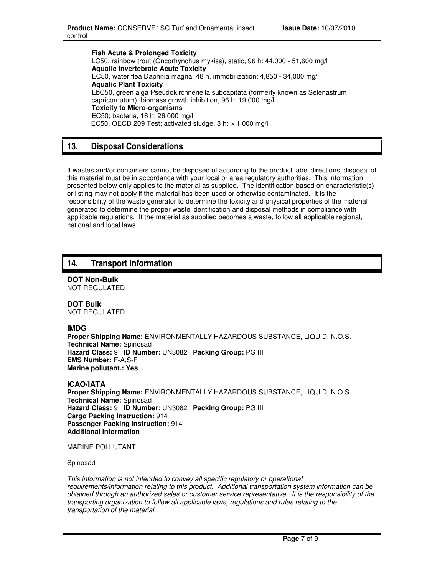**Fish Acute & Prolonged Toxicity**  LC50, rainbow trout (Oncorhynchus mykiss), static, 96 h: 44,000 - 51,600 mg/l **Aquatic Invertebrate Acute Toxicity**  EC50, water flea Daphnia magna, 48 h, immobilization: 4,850 - 34,000 mg/l **Aquatic Plant Toxicity**  EbC50, green alga Pseudokirchneriella subcapitata (formerly known as Selenastrum capricornutum), biomass growth inhibition, 96 h: 19,000 mg/l **Toxicity to Micro-organisms**  EC50; bacteria, 16 h: 26,000 mg/l EC50, OECD 209 Test; activated sludge, 3 h: > 1,000 mg/l

# **13. Disposal Considerations**

If wastes and/or containers cannot be disposed of according to the product label directions, disposal of this material must be in accordance with your local or area regulatory authorities. This information presented below only applies to the material as supplied. The identification based on characteristic(s) or listing may not apply if the material has been used or otherwise contaminated. It is the responsibility of the waste generator to determine the toxicity and physical properties of the material generated to determine the proper waste identification and disposal methods in compliance with applicable regulations. If the material as supplied becomes a waste, follow all applicable regional, national and local laws.

## **14. Transport Information**

**DOT Non-Bulk** NOT REGULATED

**DOT Bulk** NOT REGULATED

### **IMDG**

**Proper Shipping Name:** ENVIRONMENTALLY HAZARDOUS SUBSTANCE, LIQUID, N.O.S. **Technical Name:** Spinosad **Hazard Class:** 9 **ID Number:** UN3082 **Packing Group:** PG III **EMS Number:** F-A,S-F **Marine pollutant.: Yes**

**ICAO/IATA**

**Proper Shipping Name:** ENVIRONMENTALLY HAZARDOUS SUBSTANCE, LIQUID, N.O.S. **Technical Name:** Spinosad **Hazard Class:** 9 **ID Number:** UN3082 **Packing Group:** PG III **Cargo Packing Instruction:** 914 **Passenger Packing Instruction:** 914 **Additional Information**

MARINE POLLUTANT

Spinosad

This information is not intended to convey all specific regulatory or operational requirements/information relating to this product. Additional transportation system information can be obtained through an authorized sales or customer service representative. It is the responsibility of the transporting organization to follow all applicable laws, regulations and rules relating to the transportation of the material.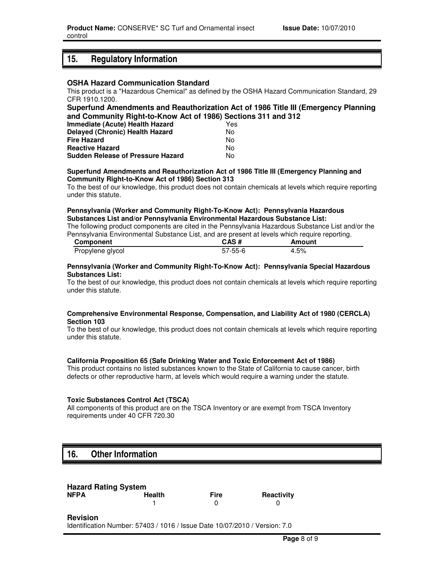## **15. Regulatory Information**

#### **OSHA Hazard Communication Standard**

This product is a "Hazardous Chemical" as defined by the OSHA Hazard Communication Standard, 29 CFR 1910.1200.

### **Superfund Amendments and Reauthorization Act of 1986 Title III (Emergency Planning and Community Right-to-Know Act of 1986) Sections 311 and 312**

| Immediate (Acute) Health Hazard          | Yes |
|------------------------------------------|-----|
| <b>Delayed (Chronic) Health Hazard</b>   | N٥  |
| <b>Fire Hazard</b>                       | N٥  |
| <b>Reactive Hazard</b>                   | N٥  |
| <b>Sudden Release of Pressure Hazard</b> | N٥  |

#### **Superfund Amendments and Reauthorization Act of 1986 Title III (Emergency Planning and Community Right-to-Know Act of 1986) Section 313**

To the best of our knowledge, this product does not contain chemicals at levels which require reporting under this statute.

#### **Pennsylvania (Worker and Community Right-To-Know Act): Pennsylvania Hazardous Substances List and/or Pennsylvania Environmental Hazardous Substance List:**

The following product components are cited in the Pennsylvania Hazardous Substance List and/or the Pennsylvania Environmental Substance List, and are present at levels which require reporting.

| Component        | CAS#          | Amount |
|------------------|---------------|--------|
| Propylene glycol | $57 - 55 - 6$ | 4.5%   |

#### **Pennsylvania (Worker and Community Right-To-Know Act): Pennsylvania Special Hazardous Substances List:**

To the best of our knowledge, this product does not contain chemicals at levels which require reporting under this statute.

#### **Comprehensive Environmental Response, Compensation, and Liability Act of 1980 (CERCLA) Section 103**

To the best of our knowledge, this product does not contain chemicals at levels which require reporting under this statute.

### **California Proposition 65 (Safe Drinking Water and Toxic Enforcement Act of 1986)**

This product contains no listed substances known to the State of California to cause cancer, birth defects or other reproductive harm, at levels which would require a warning under the statute.

### **Toxic Substances Control Act (TSCA)**

All components of this product are on the TSCA Inventory or are exempt from TSCA Inventory requirements under 40 CFR 720.30

## **16. Other Information**

| <b>Hazard Rating System</b> |               |             |            |
|-----------------------------|---------------|-------------|------------|
| <b>NFPA</b>                 | <b>Health</b> | <b>Fire</b> | Reactivity |
|                             |               |             |            |

**Revision**

Identification Number: 57403 / 1016 / Issue Date 10/07/2010 / Version: 7.0